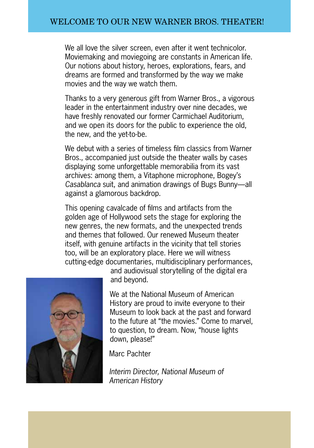We all love the silver screen, even after it went technicolor. Moviemaking and moviegoing are constants in American life. Our notions about history, heroes, explorations, fears, and dreams are formed and transformed by the way we make movies and the way we watch them.

Thanks to a very generous gift from Warner Bros., a vigorous leader in the entertainment industry over nine decades, we have freshly renovated our former Carmichael Auditorium, and we open its doors for the public to experience the old, the new, and the yet-to-be.

We debut with a series of timeless film classics from Warner Bros., accompanied just outside the theater walls by cases displaying some unforgettable memorabilia from its vast archives: among them, a Vitaphone microphone, Bogey's *Casablanca* suit, and animation drawings of Bugs Bunny—all against a glamorous backdrop.

This opening cavalcade of films and artifacts from the golden age of Hollywood sets the stage for exploring the new genres, the new formats, and the unexpected trends and themes that followed. Our renewed Museum theater itself, with genuine artifacts in the vicinity that tell stories too, will be an exploratory place. Here we will witness cutting-edge documentaries, multidisciplinary performances,



and audiovisual storytelling of the digital era and beyond.

We at the National Museum of American History are proud to invite everyone to their Museum to look back at the past and forward to the future at "the movies." Come to marvel, to question, to dream. Now, "house lights down, please!"

Marc Pachter

*Interim Director, National Museum of American History*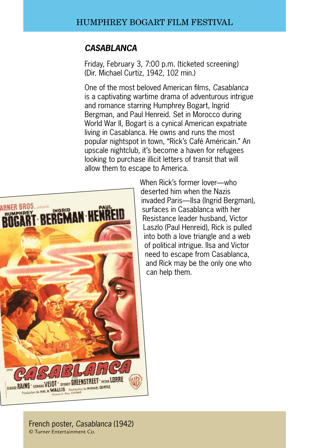### *Casablanca*

Friday, February 3, 7:00 p.m. (ticketed screening) (Dir. Michael Curtiz, 1942, 102 min.)

One of the most beloved American films, *Casablanca*  is a captivating wartime drama of adventurous intrigue and romance starring Humphrey Bogart, Ingrid Bergman, and Paul Henreid. Set in Morocco during World War II, Bogart is a cynical American expatriate living in Casablanca. He owns and runs the most popular nightspot in town, "Rick's Café Américain." An upscale nightclub, it's become a haven for refugees looking to purchase illicit letters of transit that will allow them to escape to America.



When Rick's former lover—who deserted him when the Nazis invaded Paris—Ilsa (Ingrid Bergman), surfaces in Casablanca with her Resistance leader husband, Victor Laszlo (Paul Henreid), Rick is pulled into both a love triangle and a web of political intrigue. Ilsa and Victor need to escape from Casablanca, and Rick may be the only one who can help them.

French poster, *Casablanca* (1942) © Turner Entertainment Co.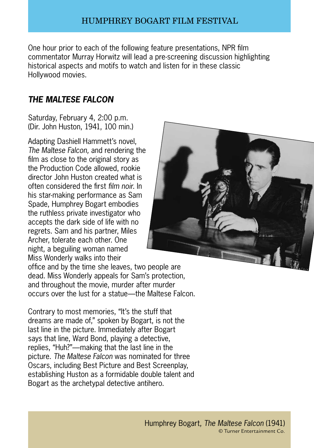One hour prior to each of the following feature presentations, NPR film commentator Murray Horwitz will lead a pre-screening discussion highlighting historical aspects and motifs to watch and listen for in these classic Hollywood movies.

# *the Maltese Falcon*

Saturday, February 4, 2:00 p.m. (Dir. John Huston, 1941, 100 min.)

Adapting Dashiell Hammett's novel, *The Maltese Falcon,* and rendering the film as close to the original story as the Production Code allowed, rookie director John Huston created what is often considered the first *film noir.* In his star-making performance as Sam Spade, Humphrey Bogart embodies the ruthless private investigator who accepts the dark side of life with no regrets. Sam and his partner, Miles Archer, tolerate each other. One night, a beguiling woman named Miss Wonderly walks into their



office and by the time she leaves, two people are dead. Miss Wonderly appeals for Sam's protection, and throughout the movie, murder after murder occurs over the lust for a statue—the Maltese Falcon.

Contrary to most memories, "It's the stuff that dreams are made of," spoken by Bogart, is not the last line in the picture. Immediately after Bogart says that line, Ward Bond, playing a detective, replies, "Huh?"—making that the last line in the picture. *The Maltese Falcon* was nominated for three Oscars, including Best Picture and Best Screenplay, establishing Huston as a formidable double talent and Bogart as the archetypal detective antihero.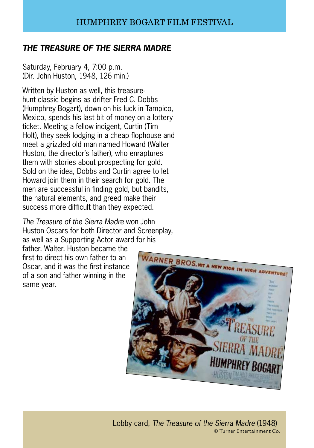# *The Treasure of the Sierra Madre*

Saturday, February 4, 7:00 p.m. (Dir. John Huston, 1948, 126 min.)

Written by Huston as well, this treasurehunt classic begins as drifter Fred C. Dobbs (Humphrey Bogart), down on his luck in Tampico, Mexico, spends his last bit of money on a lottery ticket. Meeting a fellow indigent, Curtin (Tim Holt), they seek lodging in a cheap flophouse and meet a grizzled old man named Howard (Walter Huston, the director's father), who enraptures them with stories about prospecting for gold. Sold on the idea, Dobbs and Curtin agree to let Howard join them in their search for gold. The men are successful in finding gold, but bandits, the natural elements, and greed make their success more difficult than they expected.

*The Treasure of the Sierra Madre* won John Huston Oscars for both Director and Screenplay, as well as a Supporting Actor award for his

father, Walter. Huston became the first to direct his own father to an Oscar, and it was the first instance of a son and father winning in the same year.

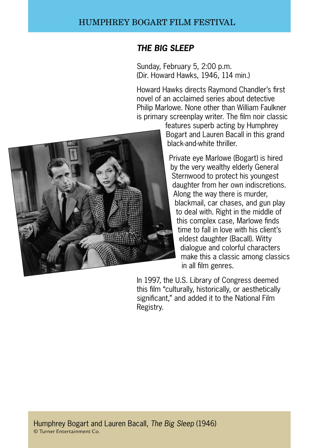## *The Big Sleep*

Sunday, February 5, 2:00 p.m. (Dir. Howard Hawks, 1946, 114 min.)

Howard Hawks directs Raymond Chandler's first novel of an acclaimed series about detective Philip Marlowe. None other than William Faulkner is primary screenplay writer. The film noir classic



features superb acting by Humphrey Bogart and Lauren Bacall in this grand black-and-white thriller.

Private eye Marlowe (Bogart) is hired by the very wealthy elderly General Sternwood to protect his youngest daughter from her own indiscretions. Along the way there is murder, blackmail, car chases, and gun play to deal with. Right in the middle of this complex case, Marlowe finds time to fall in love with his client's eldest daughter (Bacall). Witty dialogue and colorful characters make this a classic among classics in all film genres.

In 1997, the U.S. Library of Congress deemed this film "culturally, historically, or aesthetically significant," and added it to the National Film Registry.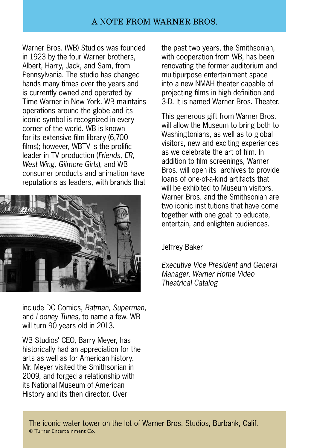### A Note from Warner Bros.

Warner Bros. (WB) Studios was founded in 1923 by the four Warner brothers, Albert, Harry, Jack, and Sam, from Pennsylvania. The studio has changed hands many times over the years and is currently owned and operated by Time Warner in New York. WB maintains operations around the globe and its iconic symbol is recognized in every corner of the world. WB is known for its extensive film library (6,700 films); however, WBTV is the prolific leader in TV production (*Friends, ER, West Wing, Gilmore Girls*), and WB consumer products and animation have reputations as leaders, with brands that



include DC Comics, *Batman, Superman,*  and *Looney Tunes,* to name a few. WB will turn 90 years old in 2013.

WB Studios' CEO, Barry Meyer, has historically had an appreciation for the arts as well as for American history. Mr. Meyer visited the Smithsonian in 2009, and forged a relationship with its National Museum of American History and its then director. Over

the past two years, the Smithsonian, with cooperation from WB, has been renovating the former auditorium and multipurpose entertainment space into a new NMAH theater capable of projecting films in high definition and 3-D. It is named Warner Bros. Theater.

This generous gift from Warner Bros. will allow the Museum to bring both to Washingtonians, as well as to global visitors, new and exciting experiences as we celebrate the art of film. In addition to film screenings, Warner Bros. will open its archives to provide loans of one-of-a-kind artifacts that will be exhibited to Museum visitors. Warner Bros. and the Smithsonian are two iconic institutions that have come together with one goal: to educate, entertain, and enlighten audiences.

Jeffrey Baker

*Executive Vice President and General Manager, Warner Home Video Theatrical Catalog*

The iconic water tower on the lot of Warner Bros. Studios, Burbank, Calif. © Turner Entertainment Co.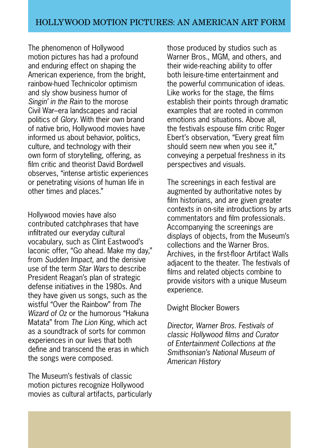The phenomenon of Hollywood motion pictures has had a profound and enduring effect on shaping the American experience, from the bright, rainbow-hued Technicolor optimism and sly show business humor of *Singin' in the Rain* to the morose Civil War–era landscapes and racial politics of *Glory*. With their own brand of native brio, Hollywood movies have informed us about behavior, politics, culture, and technology with their own form of storytelling, offering, as film critic and theorist David Bordwell observes, "intense artistic experiences or penetrating visions of human life in other times and places."

Hollywood movies have also contributed catchphrases that have infiltrated our everyday cultural vocabulary, such as Clint Eastwood's laconic offer, "Go ahead. Make my day," from *Sudden Impact,* and the derisive use of the term *Star Wars* to describe President Reagan's plan of strategic defense initiatives in the 1980s. And they have given us songs, such as the wistful "Over the Rainbow" from *The Wizard of Oz* or the humorous "Hakuna Matata" from *The Lion King*, which act as a soundtrack of sorts for common experiences in our lives that both define and transcend the eras in which the songs were composed.

The Museum's festivals of classic motion pictures recognize Hollywood movies as cultural artifacts, particularly those produced by studios such as Warner Bros., MGM, and others, and their wide-reaching ability to offer both leisure-time entertainment and the powerful communication of ideas. Like works for the stage, the films establish their points through dramatic examples that are rooted in common emotions and situations. Above all, the festivals espouse film critic Roger Ebert's observation, "Every great film should seem new when you see it," conveying a perpetual freshness in its perspectives and visuals.

The screenings in each festival are augmented by authoritative notes by film historians, and are given greater contexts in on-site introductions by arts commentators and film professionals. Accompanying the screenings are displays of objects, from the Museum's collections and the Warner Bros. Archives, in the first-floor Artifact Walls adjacent to the theater. The festivals of films and related objects combine to provide visitors with a unique Museum experience.

Dwight Blocker Bowers

*Director, Warner Bros. Festivals of classic Hollywood films and Curator of Entertainment Collections at the Smithsonian's National Museum of American History*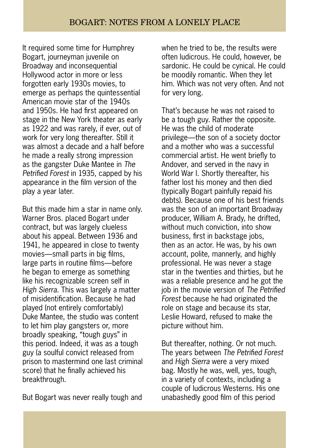It required some time for Humphrey Bogart, journeyman juvenile on Broadway and inconsequential Hollywood actor in more or less forgotten early 1930s movies, to emerge as perhaps the quintessential American movie star of the 1940s and 1950s. He had first appeared on stage in the New York theater as early as 1922 and was rarely, if ever, out of work for very long thereafter. Still it was almost a decade and a half before he made a really strong impression as the gangster Duke Mantee in *The Petrified Forest* in 1935, capped by his appearance in the film version of the play a year later.

But this made him a star in name only. Warner Bros. placed Bogart under contract, but was largely clueless about his appeal. Between 1936 and 1941, he appeared in close to twenty movies—small parts in big films, large parts in routine films—before he began to emerge as something like his recognizable screen self in *High Sierra.* This was largely a matter of misidentification. Because he had played (not entirely comfortably) Duke Mantee, the studio was content to let him play gangsters or, more broadly speaking, "tough guys" in this period. Indeed, it was as a tough guy (a soulful convict released from prison to mastermind one last criminal score) that he finally achieved his breakthrough.

But Bogart was never really tough and

when he tried to be, the results were often ludicrous. He could, however, be sardonic. He could be cynical. He could be moodily romantic. When they let him. Which was not very often. And not for very long.

That's because he was not raised to be a tough guy. Rather the opposite. He was the child of moderate privilege—the son of a society doctor and a mother who was a successful commercial artist. He went briefly to Andover, and served in the navy in World War I. Shortly thereafter, his father lost his money and then died (typically Bogart painfully repaid his debts). Because one of his best friends was the son of an important Broadway producer, William A. Brady, he drifted, without much conviction, into show business, first in backstage jobs, then as an actor. He was, by his own account, polite, mannerly, and highly professional. He was never a stage star in the twenties and thirties, but he was a reliable presence and he got the job in the movie version of *The Petrified Forest* because he had originated the role on stage and because its star, Leslie Howard, refused to make the picture without him.

But thereafter, nothing. Or not much. The years between *The Petrified Forest*  and *High Sierra* were a very mixed bag. Mostly he was, well, yes, tough, in a variety of contexts, including a couple of ludicrous Westerns. His one unabashedly good film of this period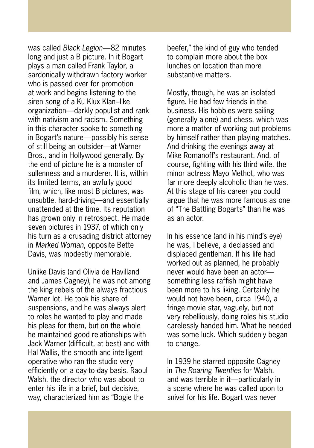was called *Black Legion*—82 minutes long and just a B picture. In it Bogart plays a man called Frank Taylor, a sardonically withdrawn factory worker who is passed over for promotion at work and begins listening to the siren song of a Ku Klux Klan–like organization—darkly populist and rank with nativism and racism. Something in this character spoke to something in Bogart's nature—possibly his sense of still being an outsider—at Warner Bros., and in Hollywood generally. By the end of picture he is a monster of sullenness and a murderer. It is, within its limited terms, an awfully good film, which, like most B pictures, was unsubtle, hard-driving—and essentially unattended at the time. Its reputation has grown only in retrospect. He made seven pictures in 1937, of which only his turn as a crusading district attorney in *Marked Woman*, opposite Bette Davis, was modestly memorable.

Unlike Davis (and Olivia de Havilland and James Cagney), he was not among the king rebels of the always fractious Warner lot. He took his share of suspensions, and he was always alert to roles he wanted to play and made his pleas for them, but on the whole he maintained good relationships with Jack Warner (difficult, at best) and with Hal Wallis, the smooth and intelligent operative who ran the studio very efficiently on a day-to-day basis. Raoul Walsh, the director who was about to enter his life in a brief, but decisive, way, characterized him as "Bogie the

beefer," the kind of guy who tended to complain more about the box lunches on location than more substantive matters.

Mostly, though, he was an isolated figure. He had few friends in the business. His hobbies were sailing (generally alone) and chess, which was more a matter of working out problems by himself rather than playing matches. And drinking the evenings away at Mike Romanoff's restaurant. And, of course, fighting with his third wife, the minor actress Mayo Methot, who was far more deeply alcoholic than he was. At this stage of his career you could argue that he was more famous as one of "The Battling Bogarts" than he was as an actor.

In his essence (and in his mind's eye) he was, I believe, a declassed and displaced gentleman. If his life had worked out as planned, he probably never would have been an actor something less raffish might have been more to his liking. Certainly he would not have been, circa 1940, a fringe movie star, vaguely, but not very rebelliously, doing roles his studio carelessly handed him. What he needed was some luck. Which suddenly began to change.

In 1939 he starred opposite Cagney in *The Roaring Twenties* for Walsh, and was terrible in it—particularly in a scene where he was called upon to snivel for his life. Bogart was never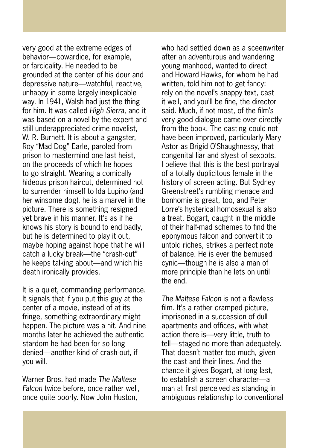very good at the extreme edges of behavior—cowardice, for example, or farcicality. He needed to be grounded at the center of his dour and depressive nature—watchful, reactive, unhappy in some largely inexplicable way. In 1941, Walsh had just the thing for him. It was called *High Sierra*, and it was based on a novel by the expert and still underappreciated crime novelist, W. R. Burnett. It is about a gangster, Roy "Mad Dog" Earle, paroled from prison to mastermind one last heist, on the proceeds of which he hopes to go straight. Wearing a comically hideous prison haircut, determined not to surrender himself to Ida Lupino (and her winsome dog), he is a marvel in the picture. There is something resigned yet brave in his manner. It's as if he knows his story is bound to end badly, but he is determined to play it out, maybe hoping against hope that he will catch a lucky break—the "crash-out" he keeps talking about—and which his death ironically provides.

It is a quiet, commanding performance. It signals that if you put this guy at the center of a movie, instead of at its fringe, something extraordinary might happen. The picture was a hit. And nine months later he achieved the authentic stardom he had been for so long denied—another kind of crash-out, if you will.

Warner Bros. had made *The Maltese Falcon* twice before, once rather well, once quite poorly. Now John Huston,

who had settled down as a sceenwriter after an adventurous and wandering young manhood, wanted to direct and Howard Hawks, for whom he had written, told him not to get fancy: rely on the novel's snappy text, cast it well, and you'll be fine, the director said. Much, if not most, of the film's very good dialogue came over directly from the book. The casting could not have been improved, particularly Mary Astor as Brigid O'Shaughnessy, that congenital liar and slyest of sexpots. I believe that this is the best portrayal of a totally duplicitous female in the history of screen acting. But Sydney Greenstreet's rumbling menace and bonhomie is great, too, and Peter Lorre's hysterical homosexual is also a treat. Bogart, caught in the middle of their half-mad schemes to find the eponymous falcon and convert it to untold riches, strikes a perfect note of balance. He is ever the bemused cynic—though he is also a man of more principle than he lets on until the end.

*The Maltese Falcon* is not a flawless film. It's a rather cramped picture, imprisoned in a succession of dull apartments and offices, with what action there is—very little, truth to tell—staged no more than adequately. That doesn't matter too much, given the cast and their lines. And the chance it gives Bogart, at long last, to establish a screen character—a man at first perceived as standing in ambiguous relationship to conventional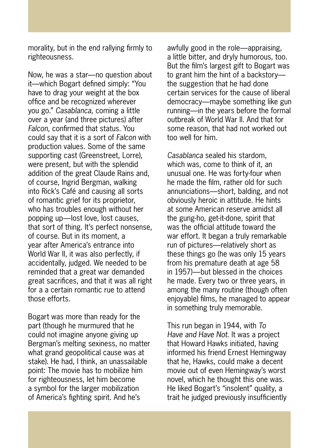morality, but in the end rallying firmly to righteousness.

Now, he was a star—no question about it—which Bogart defined simply: "You have to drag your weight at the box office and be recognized wherever you go." *Casablanca,* coming a little over a year (and three pictures) after *Falcon,* confirmed that status. You could say that it is a sort of *Falcon* with production values. Some of the same supporting cast (Greenstreet, Lorre), were present, but with the splendid addition of the great Claude Rains and, of course, Ingrid Bergman, walking into Rick's Café and causing all sorts of romantic grief for its proprietor, who has troubles enough without her popping up—lost love, lost causes, that sort of thing. It's perfect nonsense, of course. But in its moment, a year after America's entrance into World War II, it was also perfectly, if accidentally, judged. We needed to be reminded that a great war demanded great sacrifices, and that it was all right for a a certain romantic rue to attend those efforts.

Bogart was more than ready for the part (though he murmured that he could not imagine anyone giving up Bergman's melting sexiness, no matter what grand geopolitical cause was at stake). He had, I think, an unassailable point: The movie has to mobilize him for righteousness, let him become a symbol for the larger mobilization of America's fighting spirit. And he's

awfully good in the role—appraising, a little bitter, and dryly humorous, too. But the film's largest gift to Bogart was to grant him the hint of a backstory the suggestion that he had done certain services for the cause of liberal democracy—maybe something like gun running—in the years before the formal outbreak of World War II. And that for some reason, that had not worked out too well for him.

*Casablanca* sealed his stardom, which was, come to think of it, an unusual one. He was forty-four when he made the film, rather old for such annunciations—short, balding, and not obviously heroic in attitude. He hints at some American reserve amidst all the gung-ho, get-it-done, spirit that was the official attitude toward the war effort. It began a truly remarkable run of pictures—relatively short as these things go (he was only 15 years from his premature death at age 58 in 1957)—but blessed in the choices he made. Every two or three years, in among the many routine (though often enjoyable) films, he managed to appear in something truly memorable.

This run began in 1944, with *To Have and Have Not*. It was a project that Howard Hawks initiated, having informed his friend Ernest Hemingway that he, Hawks, could make a decent movie out of even Hemingway's worst novel, which he thought this one was. He liked Bogart's "insolent" quality, a trait he judged previously insufficiently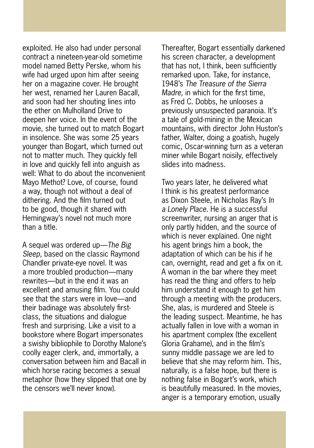exploited. He also had under personal contract a nineteen-year-old sometime model named Betty Perske, whom his wife had urged upon him after seeing her on a magazine cover. He brought her west, renamed her Lauren Bacall, and soon had her shouting lines into the ether on Mulholland Drive to deepen her voice. In the event of the movie, she turned out to match Bogart in insolence. She was some 25 years younger than Bogart, which turned out not to matter much. They quickly fell in love and quickly fell into anguish as well: What to do about the inconvenient Mayo Methot? Love, of course, found a way, though not without a deal of dithering. And the film turned out to be good, though it shared with Hemingway's novel not much more than a title.

A sequel was ordered up—*The Big Sleep*, based on the classic Raymond Chandler private-eye novel. It was a more troubled production—many rewrites—but in the end it was an excellent and amusing film. You could see that the stars were in love—and their badinage was absolutely firstclass, the situations and dialogue fresh and surprising. Like a visit to a bookstore where Bogart impersonates a swishy bibliophile to Dorothy Malone's coolly eager clerk, and, immortally, a conversation between him and Bacall in which horse racing becomes a sexual metaphor (how they slipped that one by the censors we'll never know).

Thereafter, Bogart essentially darkened his screen character, a development that has not, I think, been sufficiently remarked upon. Take, for instance, 1948's *The Treasure of the Sierra Madre,* in which for the first time, as Fred C. Dobbs, he unlooses a previously unsuspected paranoia. It's a tale of gold-mining in the Mexican mountains, with director John Huston's father, Walter, doing a goatish, hugely comic, Oscar-winning turn as a veteran miner while Bogart noisily, effectively slides into madness.

Two years later, he delivered what I think is his greatest performance as Dixon Steele, in Nicholas Ray's *In a Lonely Place.* He is a successful screenwriter, nursing an anger that is only partly hidden, and the source of which is never explained. One night his agent brings him a book, the adaptation of which can be his if he can, overnight, read and get a fix on it. A woman in the bar where they meet has read the thing and offers to help him understand it enough to get him through a meeting with the producers. She, alas, is murdered and Steele is the leading suspect. Meantime, he has actually fallen in love with a woman in his apartment complex (the excellent Gloria Grahame), and in the film's sunny middle passage we are led to believe that she may reform him. This, naturally, is a false hope, but there is nothing false in Bogart's work, which is beautifully measured. In the movies, anger is a temporary emotion, usually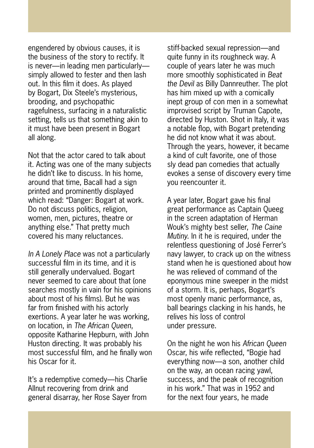engendered by obvious causes, it is the business of the story to rectify. It is never—in leading men particularly simply allowed to fester and then lash out. In this film it does. As played by Bogart, Dix Steele's mysterious, brooding, and psychopathic ragefulness, surfacing in a naturalistic setting, tells us that something akin to it must have been present in Bogart all along.

Not that the actor cared to talk about it. Acting was one of the many subjects he didn't like to discuss. In his home, around that time, Bacall had a sign printed and prominently displayed which read: "Danger: Bogart at work. Do not discuss politics, religion, women, men, pictures, theatre or anything else." That pretty much covered his many reluctances.

*In A Lonely Place* was not a particularly successful film in its time, and it is still generally undervalued. Bogart never seemed to care about that (one searches mostly in vain for his opinions about most of his films). But he was far from finished with his actorly exertions. A year later he was working, on location, in *The African Queen*, opposite Katharine Hepburn, with John Huston directing. It was probably his most successful film, and he finally won his Oscar for it.

It's a redemptive comedy—his Charlie Allnut recovering from drink and general disarray, her Rose Sayer from

stiff-backed sexual repression—and quite funny in its roughneck way. A couple of years later he was much more smoothly sophisticated in *Beat the Devil* as Billy Dannreuther. The plot has him mixed up with a comically inept group of con men in a somewhat improvised script by Truman Capote, directed by Huston. Shot in Italy, it was a notable flop, with Bogart pretending he did not know what it was about. Through the years, however, it became a kind of cult favorite, one of those sly dead pan comedies that actually evokes a sense of discovery every time you reencounter it.

A year later, Bogart gave his final great performance as Captain Queeg in the screen adaptation of Herman Wouk's mighty best seller, *The Caine Mutiny.* In it he is required, under the relentless questioning of José Ferrer's navy lawyer, to crack up on the witness stand when he is questioned about how he was relieved of command of the eponymous mine sweeper in the midst of a storm. It is, perhaps, Bogart's most openly manic performance, as, ball bearings clacking in his hands, he relives his loss of control under pressure.

On the night he won his *African Queen*  Oscar, his wife reflected, "Bogie had everything now—a son, another child on the way, an ocean racing yawl, success, and the peak of recognition in his work." That was in 1952 and for the next four years, he made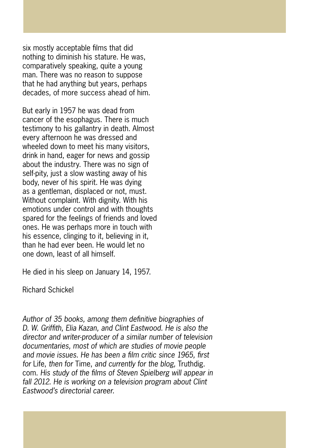six mostly acceptable films that did nothing to diminish his stature. He was, comparatively speaking, quite a young man. There was no reason to suppose that he had anything but years, perhaps decades, of more success ahead of him.

But early in 1957 he was dead from cancer of the esophagus. There is much testimony to his gallantry in death. Almost every afternoon he was dressed and wheeled down to meet his many visitors, drink in hand, eager for news and gossip about the industry. There was no sign of self-pity, just a slow wasting away of his body, never of his spirit. He was dying as a gentleman, displaced or not, must. Without complaint. With dignity. With his emotions under control and with thoughts spared for the feelings of friends and loved ones. He was perhaps more in touch with his essence, clinging to it, believing in it, than he had ever been. He would let no one down, least of all himself.

He died in his sleep on January 14, 1957.

Richard Schickel

*Author of 35 books, among them definitive biographies of D. W. Griffith, Elia Kazan, and Clint Eastwood. He is also the director and writer-producer of a similar number of television documentaries, most of which are studies of movie people and movie issues. He has been a film critic since 1965, first for* Life, *then for* Time, *and currently for the blog,* Truthdig. com. *His study of the films of Steven Spielberg will appear in fall 2012. He is working on a television program about Clint Eastwood's directorial career.*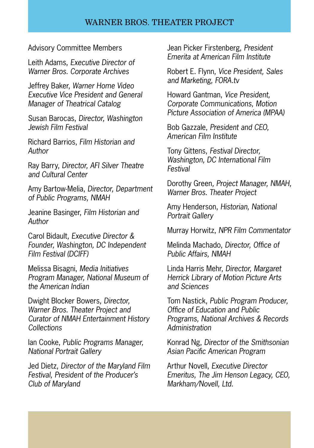#### WARNER BROS. THEATER PROJECT

Advisory Committee Members

Leith Adams, *Executive Director of Warner Bros. Corporate Archives* 

Jeffrey Baker, *Warner Home Video Executive Vice President and General Manager of Theatrical Catalog*

Susan Barocas, *Director, Washington Jewish Film Festival* 

Richard Barrios, *Film Historian and Author*

Ray Barry, *Director, AFI Silver Theatre and Cultural Center*

Amy Bartow-Melia, *Director, Department of Public Programs, NMAH*

Jeanine Basinger, *Film Historian and Author*

Carol Bidault*, Executive Director & Founder, Washington, DC Independent Film Festival (DCIFF)*

Melissa Bisagni, *Media Initiatives Program Manager, National Museum of the American Indian*

Dwight Blocker Bowers*, Director, Warner Bros. Theater Project and Curator of NMAH Entertainment History Collections*

Ian Cooke, *Public Programs Manager, National Portrait Gallery*

Jed Dietz, *Director of the Maryland Film Festival, President of the Producer's Club of Maryland*

Jean Picker Firstenberg, *President Emerita at American Film Institute*

Robert E. Flynn, *Vice President, Sales and Marketing, FORA.tv*

Howard Gantman, *Vice President, Corporate Communications, Motion Picture Association of America (MPAA)*

Bob Gazzale, *President and CEO, American Film Institute*

Tony Gittens, *Festival Director, Washington, DC International Film Festival*

Dorothy Green*, Project Manager, NMAH, Warner Bros. Theater Project*

Amy Henderson, *Historian, National Portrait Gallery*

Murray Horwitz, *NPR Film Commentator*

Melinda Machado, *Director, Office of Public Affairs, NMAH* 

Linda Harris Mehr, *Director, Margaret Herrick Library of Motion Picture Arts and Sciences*

Tom Nastick, *Public Program Producer, Office of Education and Public Programs, National Archives & Records Administration*

Konrad Ng, *Director of the Smithsonian Asian Pacific American Program*

Arthur Novell, *Executive Director Emeritus, The Jim Henson Legacy, CEO, Markham/Novell, Ltd.*